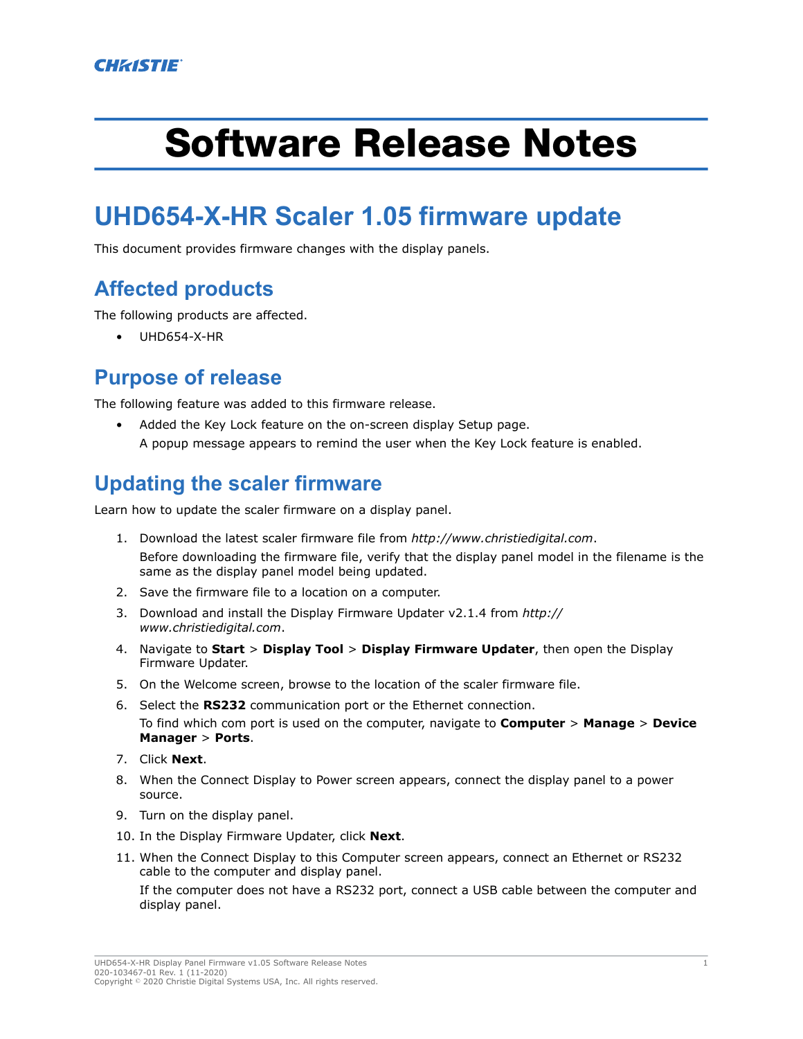# Software Release Notes

# **UHD654-X-HR Scaler 1.05 firmware update**

This document provides firmware changes with the display panels.

## **Affected products**

The following products are affected.

• UHD654-X-HR

#### **Purpose of release**

The following feature was added to this firmware release.

• Added the Key Lock feature on the on-screen display Setup page. A popup message appears to remind the user when the Key Lock feature is enabled.

## **Updating the scaler firmware**

Learn how to update the scaler firmware on a display panel.

- 1. Download the latest scaler firmware file from *<http://www.christiedigital.com>*. Before downloading the firmware file, verify that the display panel model in the filename is the same as the display panel model being updated.
- 2. Save the firmware file to a location on a computer.
- 3. Download and install the Display Firmware Updater v2.1.4 from *[http://](http://www.christiedigital.com) [www.christiedigital.com](http://www.christiedigital.com)*.
- 4. Navigate to **Start** > **Display Tool** > **Display Firmware Updater**, then open the Display Firmware Updater.
- 5. On the Welcome screen, browse to the location of the scaler firmware file.
- 6. Select the **RS232** communication port or the Ethernet connection. To find which com port is used on the computer, navigate to **Computer** > **Manage** > **Device Manager** > **Ports**.
- 7. Click **Next**.
- 8. When the Connect Display to Power screen appears, connect the display panel to a power source.
- 9. Turn on the display panel.
- 10. In the Display Firmware Updater, click **Next**.
- 11. When the Connect Display to this Computer screen appears, connect an Ethernet or RS232 cable to the computer and display panel.

If the computer does not have a RS232 port, connect a USB cable between the computer and display panel.